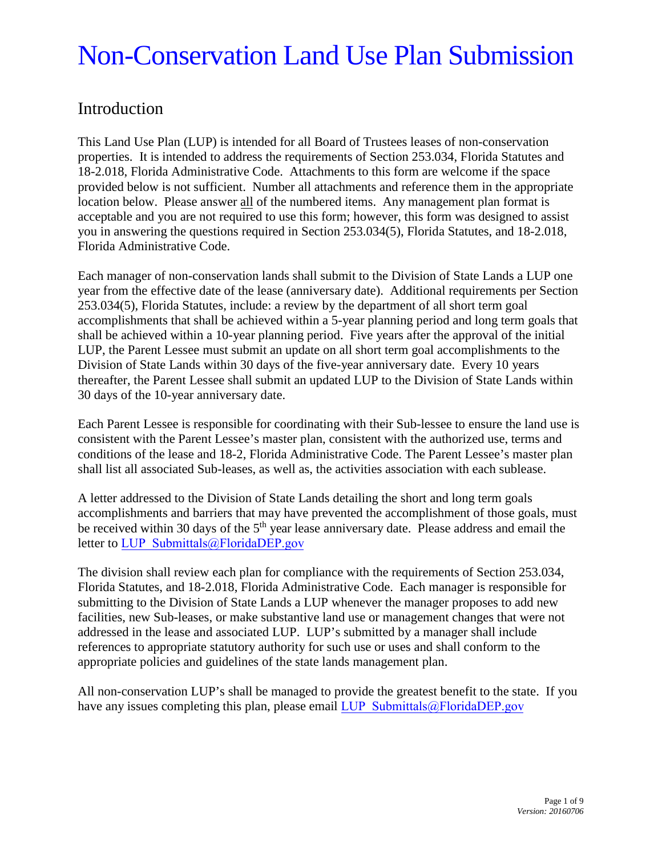### Introduction

This Land Use Plan (LUP) is intended for all Board of Trustees leases of non-conservation properties. It is intended to address the requirements of Section 253.034, Florida Statutes and 18-2.018, Florida Administrative Code. Attachments to this form are welcome if the space provided below is not sufficient. Number all attachments and reference them in the appropriate location below. Please answer all of the numbered items. Any management plan format is acceptable and you are not required to use this form; however, this form was designed to assist you in answering the questions required in Section 253.034(5), Florida Statutes, and 18-2.018, Florida Administrative Code.

Each manager of non-conservation lands shall submit to the Division of State Lands a LUP one year from the effective date of the lease (anniversary date). Additional requirements per Section 253.034(5), Florida Statutes, include: a review by the department of all short term goal accomplishments that shall be achieved within a 5-year planning period and long term goals that shall be achieved within a 10-year planning period. Five years after the approval of the initial LUP, the Parent Lessee must submit an update on all short term goal accomplishments to the Division of State Lands within 30 days of the five-year anniversary date. Every 10 years thereafter, the Parent Lessee shall submit an updated LUP to the Division of State Lands within 30 days of the 10-year anniversary date.

Each Parent Lessee is responsible for coordinating with their Sub-lessee to ensure the land use is consistent with the Parent Lessee's master plan, consistent with the authorized use, terms and conditions of the lease and 18-2, Florida Administrative Code. The Parent Lessee's master plan shall list all associated Sub-leases, as well as, the activities association with each sublease.

A letter addressed to the Division of State Lands detailing the short and long term goals accomplishments and barriers that may have prevented the accomplishment of those goals, must be received within 30 days of the 5<sup>th</sup> year lease anniversary date. Please address and email the letter to [LUP\\_Submittals@FloridaDEP.gov](LUP_Submittals@FloridaDEP.gov)

The division shall review each plan for compliance with the requirements of Section 253.034, Florida Statutes, and 18-2.018, Florida Administrative Code. Each manager is responsible for submitting to the Division of State Lands a LUP whenever the manager proposes to add new facilities, new Sub-leases, or make substantive land use or management changes that were not addressed in the lease and associated LUP. LUP's submitted by a manager shall include references to appropriate statutory authority for such use or uses and shall conform to the appropriate policies and guidelines of the state lands management plan.

All non-conservation LUP's shall be managed to provide the greatest benefit to the state. If you have any issues completing this plan, please email [LUP\\_Submittals@FloridaDEP.gov](LUP_Submittals@FloridaDEP.gov)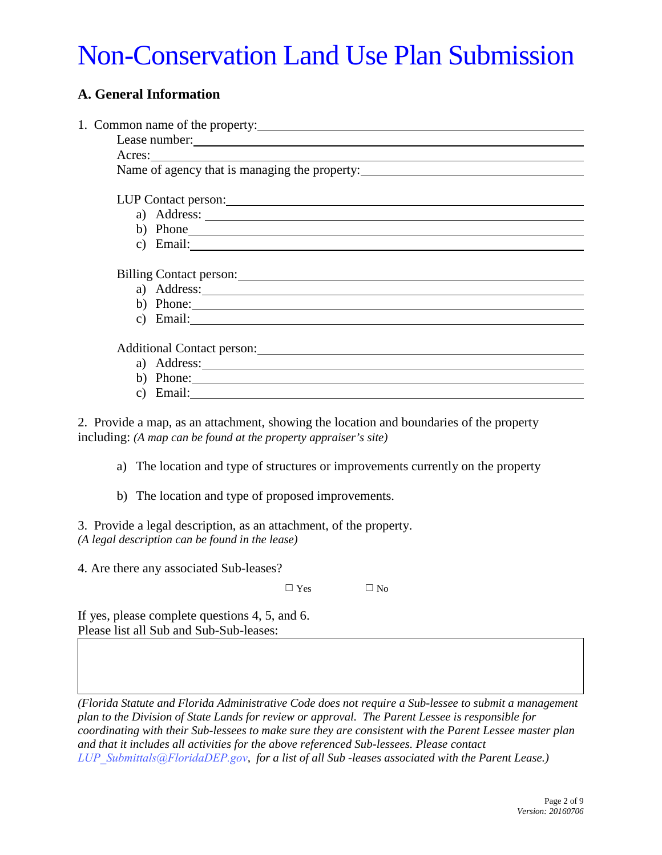### **A. General Information**

| 1. Common name of the property:                                                                                                                                                                                                |                                                                                 |  |
|--------------------------------------------------------------------------------------------------------------------------------------------------------------------------------------------------------------------------------|---------------------------------------------------------------------------------|--|
|                                                                                                                                                                                                                                |                                                                                 |  |
|                                                                                                                                                                                                                                |                                                                                 |  |
| Name of agency that is managing the property: ___________________________________                                                                                                                                              |                                                                                 |  |
|                                                                                                                                                                                                                                |                                                                                 |  |
|                                                                                                                                                                                                                                |                                                                                 |  |
|                                                                                                                                                                                                                                |                                                                                 |  |
|                                                                                                                                                                                                                                | b) Phone                                                                        |  |
|                                                                                                                                                                                                                                | c) Email: $\qquad \qquad$                                                       |  |
|                                                                                                                                                                                                                                |                                                                                 |  |
| Billing Contact person: Note that the contract of the contract of the contract of the contract of the contract of the contract of the contract of the contract of the contract of the contract of the contract of the contract |                                                                                 |  |
|                                                                                                                                                                                                                                | a) Address:                                                                     |  |
|                                                                                                                                                                                                                                | b) Phone:                                                                       |  |
|                                                                                                                                                                                                                                | c) Email:                                                                       |  |
|                                                                                                                                                                                                                                |                                                                                 |  |
|                                                                                                                                                                                                                                |                                                                                 |  |
|                                                                                                                                                                                                                                |                                                                                 |  |
|                                                                                                                                                                                                                                | b) Phone:                                                                       |  |
|                                                                                                                                                                                                                                | c) Email: $\frac{1}{\sqrt{1-\frac{1}{2}} \left(\frac{1}{2}-\frac{1}{2}\right)}$ |  |
| 2. Provide a map, as an attachment, showing the location and boundaries of the property<br>including: (A map can be found at the property appraiser's site)                                                                    |                                                                                 |  |
| a) The location and type of structures or improvements currently on the property                                                                                                                                               |                                                                                 |  |

b) The location and type of proposed improvements.

3. Provide a legal description, as an attachment, of the property. *(A legal description can be found in the lease)*

4. Are there any associated Sub-leases?

 $\Box$  Yes  $\Box$  No

If yes, please complete questions 4, 5, and 6. Please list all Sub and Sub-Sub-leases:

*(Florida Statute and Florida Administrative Code does not require a Sub-lessee to submit a management plan to the Division of State Lands for review or approval. The Parent Lessee is responsible for coordinating with their Sub-lessees to make sure they are consistent with the Parent Lessee master plan and that it includes all activities for the above referenced Sub-lessees. Please contact [LUP\\_Submittals@FloridaDEP.gov](LUP_Submittals@FloridaDEP.gov), for a list of all Sub -leases associated with the Parent Lease.)*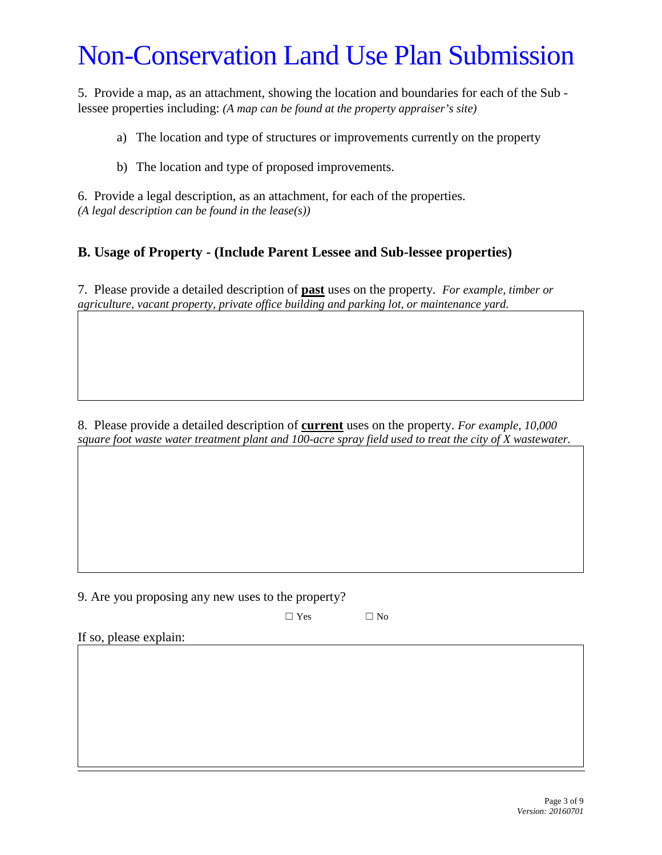5. Provide a map, as an attachment, showing the location and boundaries for each of the Sub lessee properties including: *(A map can be found at the property appraiser's site)*

a) The location and type of structures or improvements currently on the property

b) The location and type of proposed improvements.

6. Provide a legal description, as an attachment, for each of the properties. *(A legal description can be found in the lease(s))*

### **B. Usage of Property - (Include Parent Lessee and Sub-lessee properties)**

7. Please provide a detailed description of **past** uses on the property. *For example, timber or agriculture, vacant property, private office building and parking lot, or maintenance yard.*

8. Please provide a detailed description of **current** uses on the property. *For example, 10,000 square foot waste water treatment plant and 100-acre spray field used to treat the city of X wastewater.*

9. Are you proposing any new uses to the property?

 $\square$  Yes  $\square$  No

If so, please explain: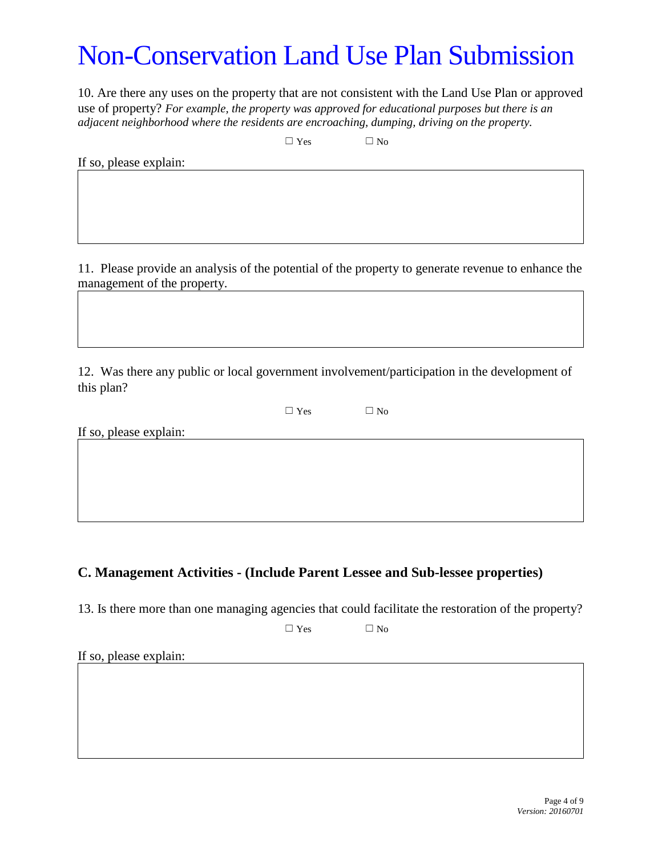10. Are there any uses on the property that are not consistent with the Land Use Plan or approved use of property? *For example, the property was approved for educational purposes but there is an adjacent neighborhood where the residents are encroaching, dumping, driving on the property.*

 $\square$  Yes  $\square$  No

If so, please explain:

11. Please provide an analysis of the potential of the property to generate revenue to enhance the management of the property.

12. Was there any public or local government involvement/participation in the development of this plan?

 $\square$  Yes  $\square$  No

If so, please explain:

### **C. Management Activities - (Include Parent Lessee and Sub-lessee properties)**

13. Is there more than one managing agencies that could facilitate the restoration of the property?

 $\Box$  Yes  $\Box$  No

If so, please explain: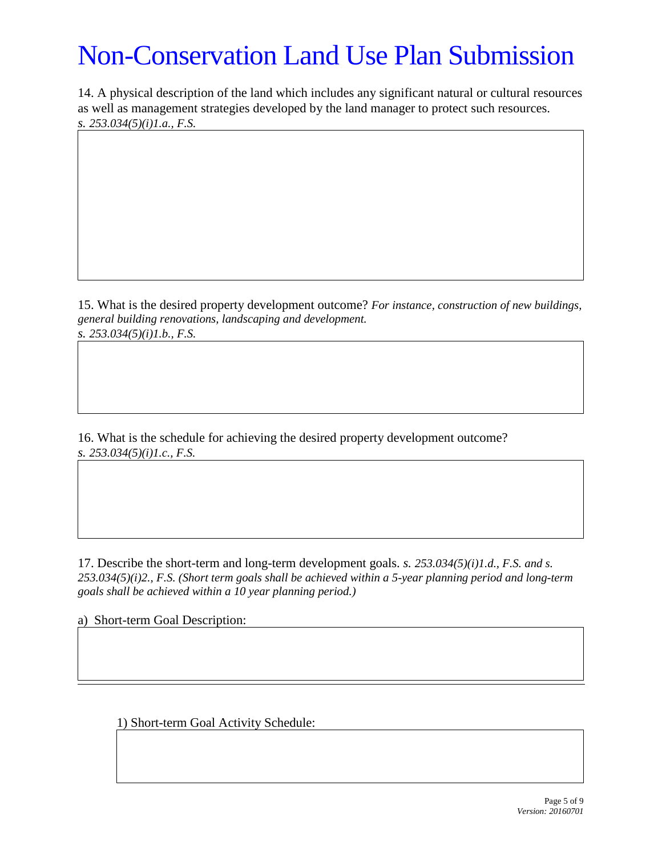14. A physical description of the land which includes any significant natural or cultural resources as well as management strategies developed by the land manager to protect such resources. *s. 253.034(5)(i)1.a., F.S.*

15. What is the desired property development outcome? *For instance, construction of new buildings, general building renovations, landscaping and development.*

*s. 253.034(5)(i)1.b., F.S.*

16. What is the schedule for achieving the desired property development outcome? *s. 253.034(5)(i)1.c., F.S.*

17. Describe the short-term and long-term development goals. *s. 253.034(5)(i)1.d., F.S. and s. 253.034(5)(i)2., F.S. (Short term goals shall be achieved within a 5-year planning period and long-term goals shall be achieved within a 10 year planning period.)*

a) Short-term Goal Description:

1) Short-term Goal Activity Schedule: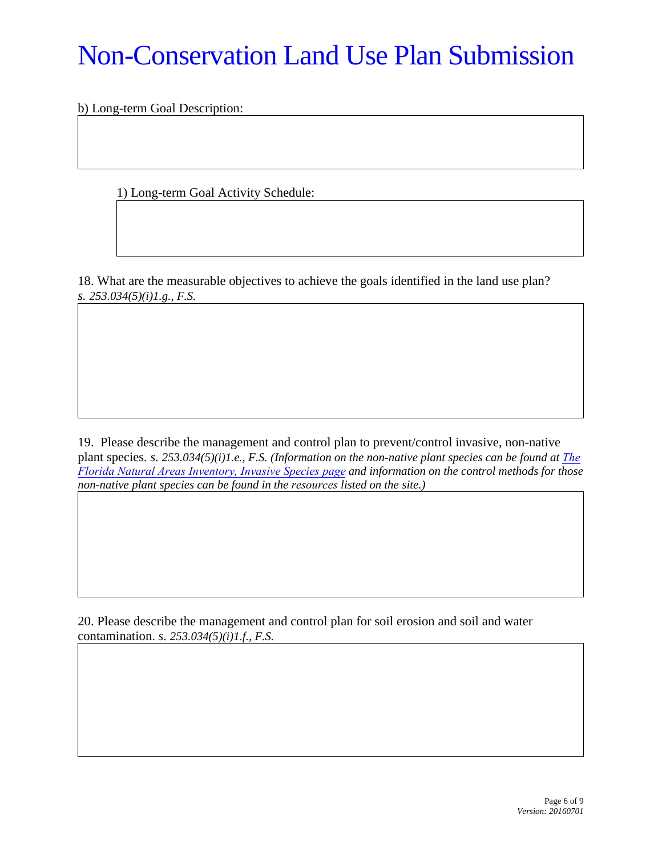b) Long-term Goal Description:

1) Long-term Goal Activity Schedule:

18. What are the measurable objectives to achieve the goals identified in the land use plan? *s. 253.034(5)(i)1.g., F.S.*

19. Please describe the management and control plan to prevent/control invasive, non-native plant species. *s.* 253.034(5)(*i*)1.e., *F.S.* (Information on the non-native plant species can be found at [The](http://www.invasivespeciesinfo.gov/toolkit/fl.shtml) *[Florida Natural Areas I](http://www.invasivespeciesinfo.gov/toolkit/fl.shtml)nventory, Invasive Species page and information on the control methods for those non-native plant species can be found in the resources listed on the site.)*

20. Please describe the management and control plan for soil erosion and soil and water contamination. *s. 253.034(5)(i)1.f., F.S.*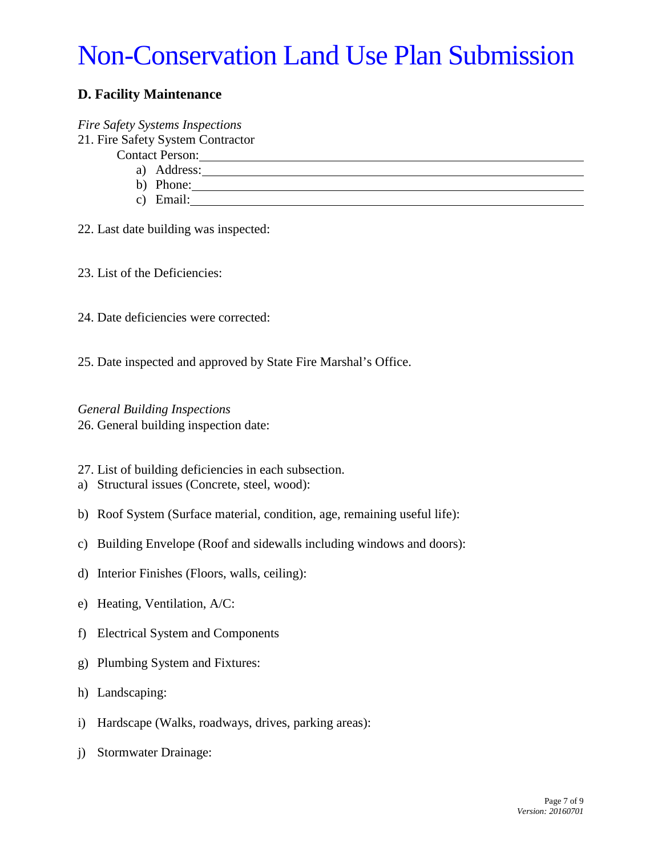### **D. Facility Maintenance**

#### *Fire Safety Systems Inspections*

- 21. Fire Safety System Contractor
	- Contact Person:
		-
		- a) Address: b) Phone:
		- c) Email:
- 22. Last date building was inspected:
- 23. List of the Deficiencies:
- 24. Date deficiencies were corrected:
- 25. Date inspected and approved by State Fire Marshal's Office.

*General Building Inspections*  26. General building inspection date:

- 27. List of building deficiencies in each subsection.
- a) Structural issues (Concrete, steel, wood):
- b) Roof System (Surface material, condition, age, remaining useful life):
- c) Building Envelope (Roof and sidewalls including windows and doors):
- d) Interior Finishes (Floors, walls, ceiling):
- e) Heating, Ventilation, A/C:
- f) Electrical System and Components
- g) Plumbing System and Fixtures:
- h) Landscaping:
- i) Hardscape (Walks, roadways, drives, parking areas):
- j) Stormwater Drainage: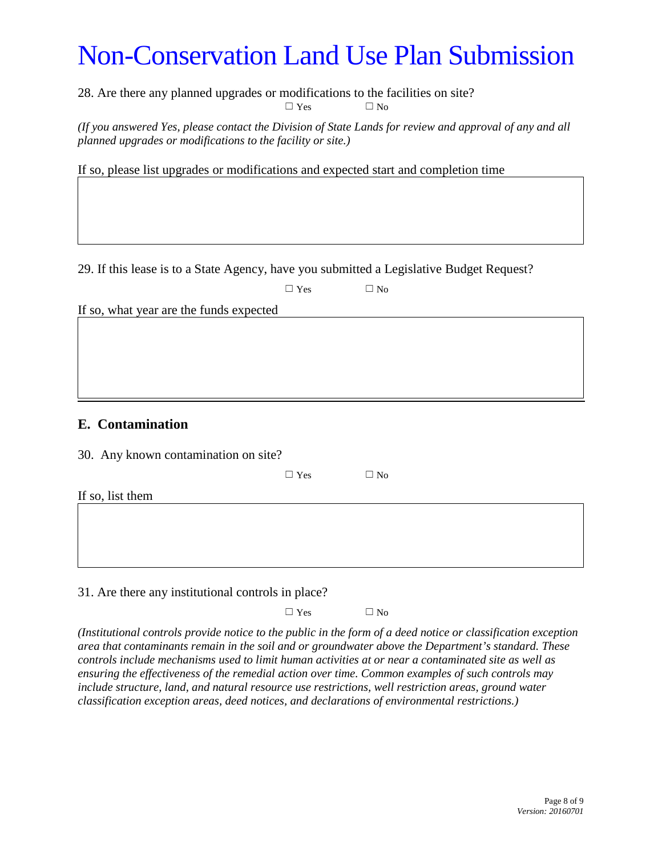28. Are there any planned upgrades or modifications to the facilities on site?  $\square$  Yes  $\square$  No

*(If you answered Yes, please contact the Division of State Lands for review and approval of any and all planned upgrades or modifications to the facility or site.)*

If so, please list upgrades or modifications and expected start and completion time

29. If this lease is to a State Agency, have you submitted a Legislative Budget Request?

|                                         | $\Box$ Yes | $\Box$ No |  |  |
|-----------------------------------------|------------|-----------|--|--|
| If so, what year are the funds expected |            |           |  |  |
|                                         |            |           |  |  |
|                                         |            |           |  |  |
|                                         |            |           |  |  |
|                                         |            |           |  |  |
|                                         |            |           |  |  |
| <b>E.</b> Contamination                 |            |           |  |  |
| 30. Any known contamination on site?    |            |           |  |  |
|                                         | $\Box$ Yes | $\Box$ No |  |  |
| If so, list them                        |            |           |  |  |
|                                         |            |           |  |  |

31. Are there any institutional controls in place?

 $\square$  Yes  $\square$  No

*(Institutional controls provide notice to the public in the form of a deed notice or classification exception area that contaminants remain in the soil and or groundwater above the Department's standard. These controls include mechanisms used to limit human activities at or near a contaminated site as well as ensuring the effectiveness of the remedial action over time. Common examples of such controls may include structure, land, and natural resource use restrictions, well restriction areas, ground water classification exception areas, deed notices, and declarations of environmental restrictions.)*